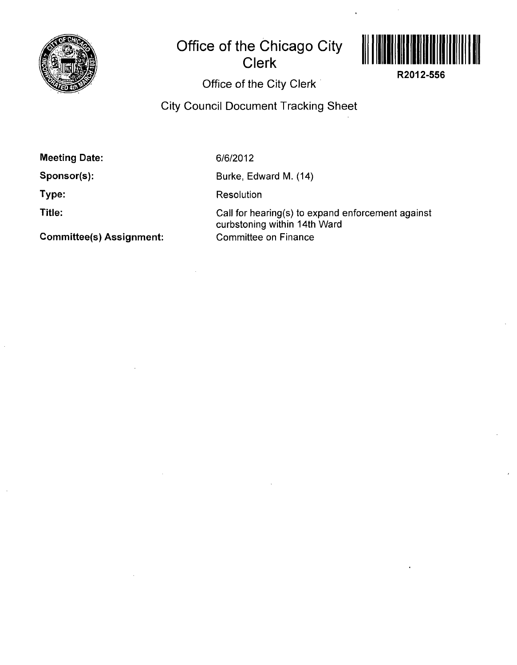

## **Office of the Chicago City Clerk**



**R2012-556** 

**Office of the City Clerk** 

**City Council Document Tracking Sheet** 

**Meeting Date:** 

**Sponsor(s):** 

**Type:** 

**Title:** 

**Committee(s) Assignment:** 

6/6/2012

Burke, Edward M. (14)

Resolution

Call for hearing(s) to expand enforcement against curbstoning within 14th Ward Committee on Finance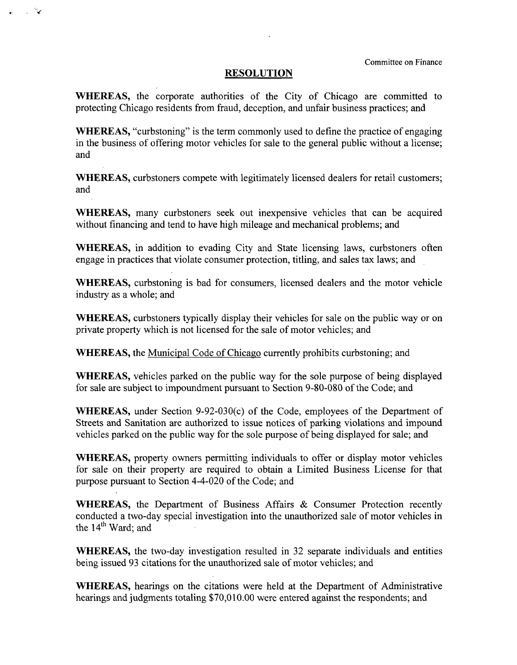## **RESOLUTION**

ੱਵ and a

> WHEREAS, the corporate authorities of the City of Chicago are committed to protecting Chicago residents from fraud, deception, and unfair business practices; and

> WHEREAS, "curbstoning" is the term commonly used to define the practice of engaging in the business of offering motor vehicles for sale to the general public without a license; and

> WHEREAS, curbstoners compete with legitimately licensed dealers for retail customers; and

> WHEREAS, many curbstoners seek out inexpensive vehicles that can be acquired without financing and tend to have high mileage and mechanical problems; and

> WHEREAS, in addition to evading City and State licensing laws, curbstoners often engage in practices that violate consumer protection, titling, and sales tax laws; and

> WHEREAS, curbstoning is bad for consumers, licensed dealers and the motor vehicle industry as a whole; and

> WHEREAS, curbstoners typically display their vehicles for sale on the public way or on private property which is not licensed for the sale of motor vehicles; and

WHEREAS, the Municipal Code of Chicago currently prohibits curbstoning; and

WHEREAS, vehicles parked on the public way for the sole purpose of being displayed for sale are subject to impoundment pursuant to Section 9-80-080 of the Code; and

WHEREAS, under Section 9-92-030(c) of the Code, employees of the Department of Streets and Sanitation are authorized to issue notices of parking violations and impound vehicles parked on the public way for the sole purpose of being displayed for sale; and

WHEREAS, property owners permitting individuals to offer or display motor vehicles for sale on their property are required to obtain a Limited Business License for that purpose pursuant to Section 4-4-020 of the Code; and

WHEREAS, the Department of Business Affairs & Consumer Protection recently conducted a two-day special investigation into the unauthorized sale of motor vehicles in the 14<sup>th</sup> Ward; and

WHEREAS, the two-day investigation resulted in 32 separate individuals and entities being issued 93 citations for the unauthorized sale of motor vehicles; and

WHEREAS, hearings on the citations were held at the Department of Administrative hearings and judgments totaling \$70,010.00 were entered against the respondents; and